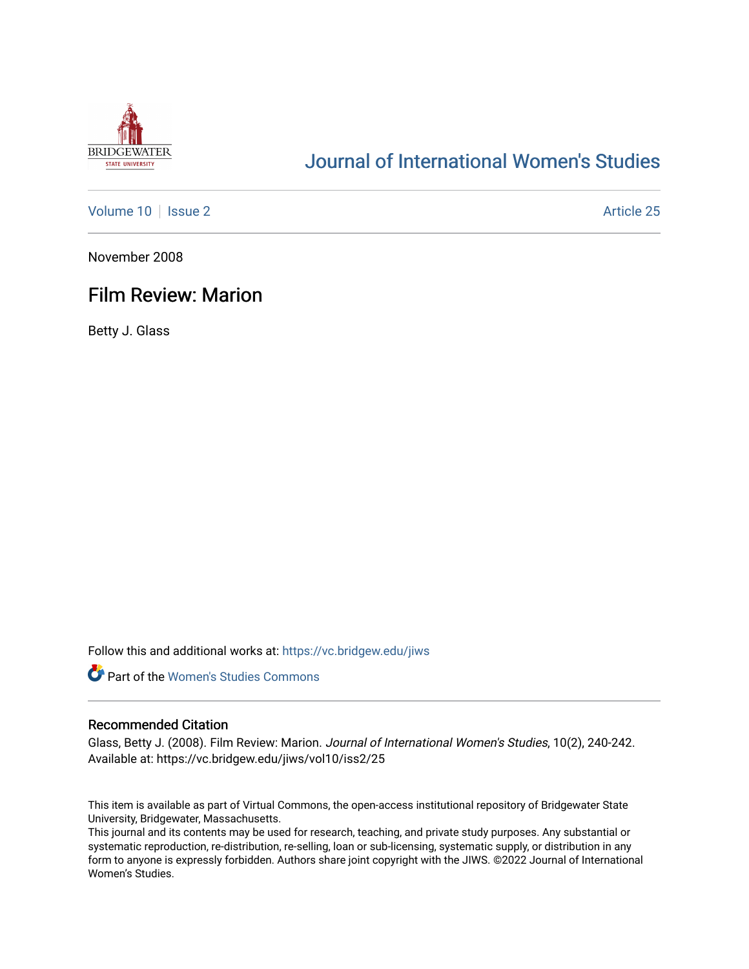

# [Journal of International Women's Studies](https://vc.bridgew.edu/jiws)

[Volume 10](https://vc.bridgew.edu/jiws/vol10) | [Issue 2](https://vc.bridgew.edu/jiws/vol10/iss2) Article 25

November 2008

## Film Review: Marion

Betty J. Glass

Follow this and additional works at: [https://vc.bridgew.edu/jiws](https://vc.bridgew.edu/jiws?utm_source=vc.bridgew.edu%2Fjiws%2Fvol10%2Fiss2%2F25&utm_medium=PDF&utm_campaign=PDFCoverPages)



#### Recommended Citation

Glass, Betty J. (2008). Film Review: Marion. Journal of International Women's Studies, 10(2), 240-242. Available at: https://vc.bridgew.edu/jiws/vol10/iss2/25

This item is available as part of Virtual Commons, the open-access institutional repository of Bridgewater State University, Bridgewater, Massachusetts.

This journal and its contents may be used for research, teaching, and private study purposes. Any substantial or systematic reproduction, re-distribution, re-selling, loan or sub-licensing, systematic supply, or distribution in any form to anyone is expressly forbidden. Authors share joint copyright with the JIWS. ©2022 Journal of International Women's Studies.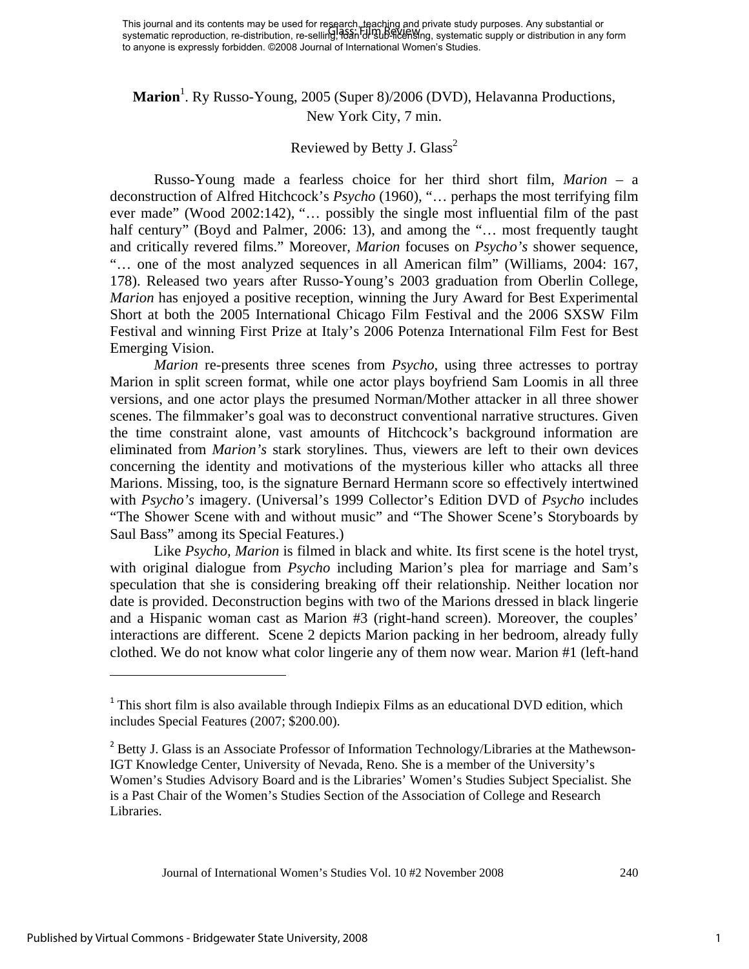## Marion<sup>1</sup>. Ry Russo-Young, 2005 (Super 8)/2006 (DVD), Helavanna Productions, New York City, 7 min.

## Reviewed by Betty J. Glass<sup>2</sup>

Russo-Young made a fearless choice for her third short film, *Marion* – a deconstruction of Alfred Hitchcock's *Psycho* (1960), "… perhaps the most terrifying film ever made" (Wood 2002:142), "… possibly the single most influential film of the past half century" (Boyd and Palmer, 2006: 13), and among the "... most frequently taught and critically revered films." Moreover, *Marion* focuses on *Psycho's* shower sequence, "… one of the most analyzed sequences in all American film" (Williams, 2004: 167, 178). Released two years after Russo-Young's 2003 graduation from Oberlin College, *Marion* has enjoyed a positive reception, winning the Jury Award for Best Experimental Short at both the 2005 International Chicago Film Festival and the 2006 SXSW Film Festival and winning First Prize at Italy's 2006 Potenza International Film Fest for Best Emerging Vision.

*Marion* re-presents three scenes from *Psycho*, using three actresses to portray Marion in split screen format, while one actor plays boyfriend Sam Loomis in all three versions, and one actor plays the presumed Norman/Mother attacker in all three shower scenes. The filmmaker's goal was to deconstruct conventional narrative structures. Given the time constraint alone, vast amounts of Hitchcock's background information are eliminated from *Marion's* stark storylines. Thus, viewers are left to their own devices concerning the identity and motivations of the mysterious killer who attacks all three Marions. Missing, too, is the signature Bernard Hermann score so effectively intertwined with *Psycho's* imagery. (Universal's 1999 Collector's Edition DVD of *Psycho* includes "The Shower Scene with and without music" and "The Shower Scene's Storyboards by Saul Bass" among its Special Features.)

Like *Psycho, Marion* is filmed in black and white. Its first scene is the hotel tryst, with original dialogue from *Psycho* including Marion's plea for marriage and Sam's speculation that she is considering breaking off their relationship. Neither location nor date is provided. Deconstruction begins with two of the Marions dressed in black lingerie and a Hispanic woman cast as Marion #3 (right-hand screen). Moreover, the couples' interactions are different. Scene 2 depicts Marion packing in her bedroom, already fully clothed. We do not know what color lingerie any of them now wear. Marion #1 (left-hand

<sup>&</sup>lt;sup>1</sup> This short film is also available through Indiepix Films as an educational DVD edition, which includes Special Features (2007; \$200.00).

<sup>&</sup>lt;sup>2</sup> Betty J. Glass is an Associate Professor of Information Technology/Libraries at the Mathewson-IGT Knowledge Center, University of Nevada, Reno. She is a member of the University's Women's Studies Advisory Board and is the Libraries' Women's Studies Subject Specialist. She is a Past Chair of the Women's Studies Section of the Association of College and Research Libraries.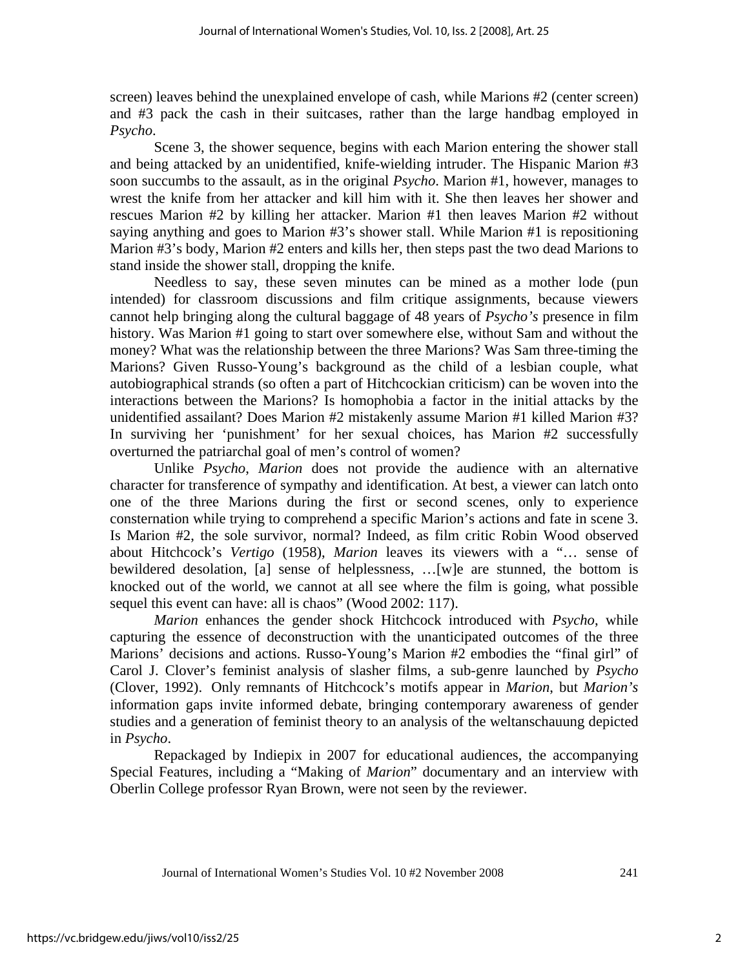screen) leaves behind the unexplained envelope of cash, while Marions #2 (center screen) and #3 pack the cash in their suitcases, rather than the large handbag employed in *Psycho*.

Scene 3, the shower sequence, begins with each Marion entering the shower stall and being attacked by an unidentified, knife-wielding intruder. The Hispanic Marion #3 soon succumbs to the assault, as in the original *Psycho*. Marion #1, however, manages to wrest the knife from her attacker and kill him with it. She then leaves her shower and rescues Marion #2 by killing her attacker. Marion #1 then leaves Marion #2 without saying anything and goes to Marion #3's shower stall. While Marion #1 is repositioning Marion #3's body, Marion #2 enters and kills her, then steps past the two dead Marions to stand inside the shower stall, dropping the knife.

Needless to say, these seven minutes can be mined as a mother lode (pun intended) for classroom discussions and film critique assignments, because viewers cannot help bringing along the cultural baggage of 48 years of *Psycho's* presence in film history. Was Marion #1 going to start over somewhere else, without Sam and without the money? What was the relationship between the three Marions? Was Sam three-timing the Marions? Given Russo-Young's background as the child of a lesbian couple, what autobiographical strands (so often a part of Hitchcockian criticism) can be woven into the interactions between the Marions? Is homophobia a factor in the initial attacks by the unidentified assailant? Does Marion #2 mistakenly assume Marion #1 killed Marion #3? In surviving her 'punishment' for her sexual choices, has Marion #2 successfully overturned the patriarchal goal of men's control of women?

Unlike *Psycho*, *Marion* does not provide the audience with an alternative character for transference of sympathy and identification. At best, a viewer can latch onto one of the three Marions during the first or second scenes, only to experience consternation while trying to comprehend a specific Marion's actions and fate in scene 3. Is Marion #2, the sole survivor, normal? Indeed, as film critic Robin Wood observed about Hitchcock's *Vertigo* (1958), *Marion* leaves its viewers with a "… sense of bewildered desolation, [a] sense of helplessness, …[w]e are stunned, the bottom is knocked out of the world, we cannot at all see where the film is going, what possible sequel this event can have: all is chaos" (Wood 2002: 117).

*Marion* enhances the gender shock Hitchcock introduced with *Psycho*, while capturing the essence of deconstruction with the unanticipated outcomes of the three Marions' decisions and actions. Russo-Young's Marion #2 embodies the "final girl" of Carol J. Clover's feminist analysis of slasher films, a sub-genre launched by *Psycho*  (Clover, 1992). Only remnants of Hitchcock's motifs appear in *Marion*, but *Marion's*  information gaps invite informed debate, bringing contemporary awareness of gender studies and a generation of feminist theory to an analysis of the weltanschauung depicted in *Psycho*.

Repackaged by Indiepix in 2007 for educational audiences, the accompanying Special Features, including a "Making of *Marion*" documentary and an interview with Oberlin College professor Ryan Brown, were not seen by the reviewer.